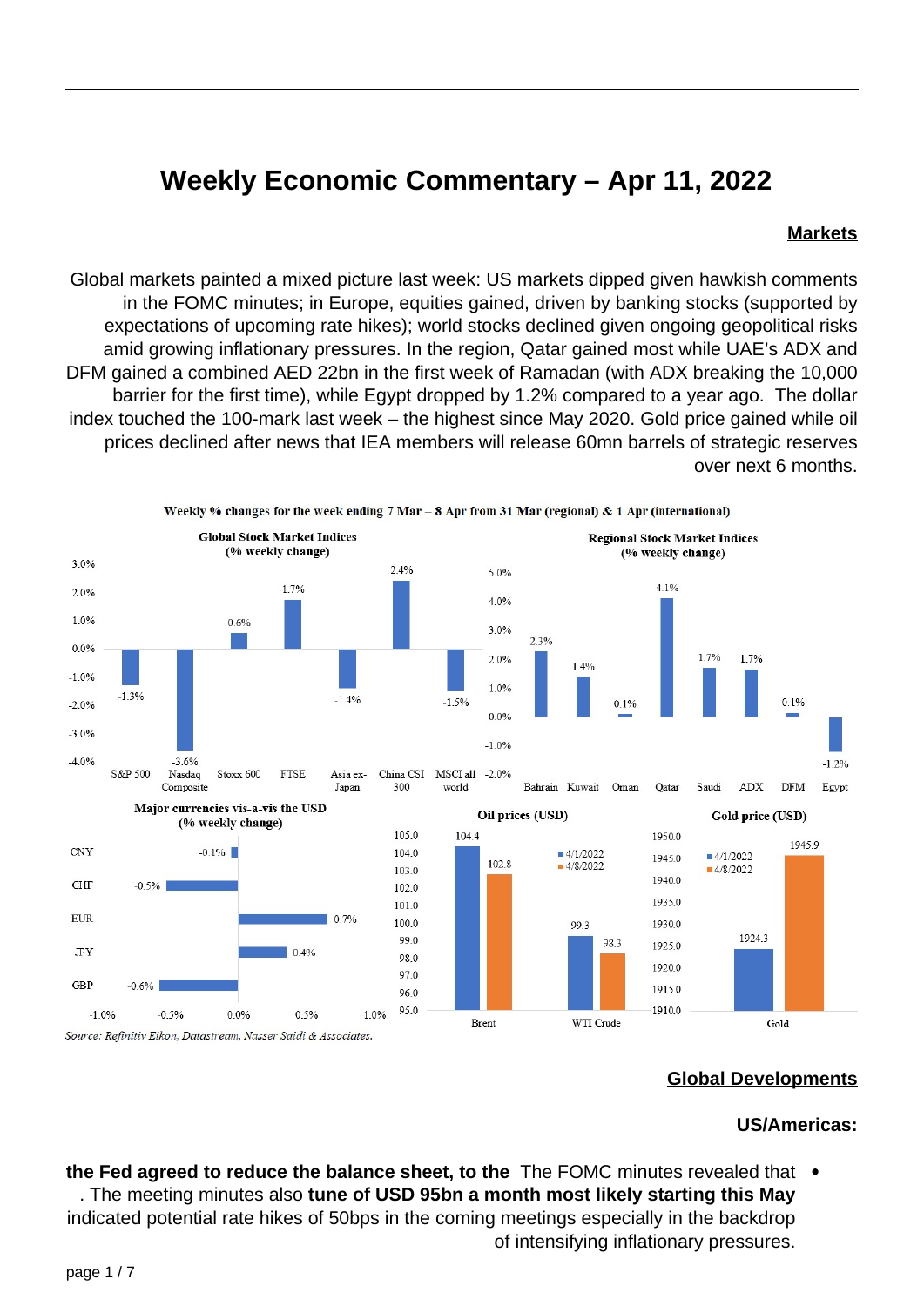# **Weekly Economic Commentary - Apr 11, 2022**

#### **Markets**

Global markets painted a mixed picture last week: US markets dipped given hawkish comments in the FOMC minutes; in Europe, equities gained, driven by banking stocks (supported by expectations of upcoming rate hikes); world stocks declined given ongoing geopolitical risks amid growing inflationary pressures. In the region, Qatar gained most while UAE's ADX and DFM gained a combined AED 22bn in the first week of Ramadan (with ADX breaking the 10,000 barrier for the first time), while Egypt dropped by 1.2% compared to a year ago. The dollar index touched the 100-mark last week – the highest since May 2020. Gold price gained while oil prices declined after news that IEA members will release 60mn barrels of strategic reserves over next 6 months.



#### **Developments Global**

#### **US/Americas:**

the Fed agreed to reduce the balance sheet, to the The FOMC minutes revealed that  $\bullet$ . The meeting minutes also tune of USD 95bn a month most likely starting this May indicated potential rate hikes of 50bps in the coming meetings especially in the backdrop of intensifying inflationary pressures.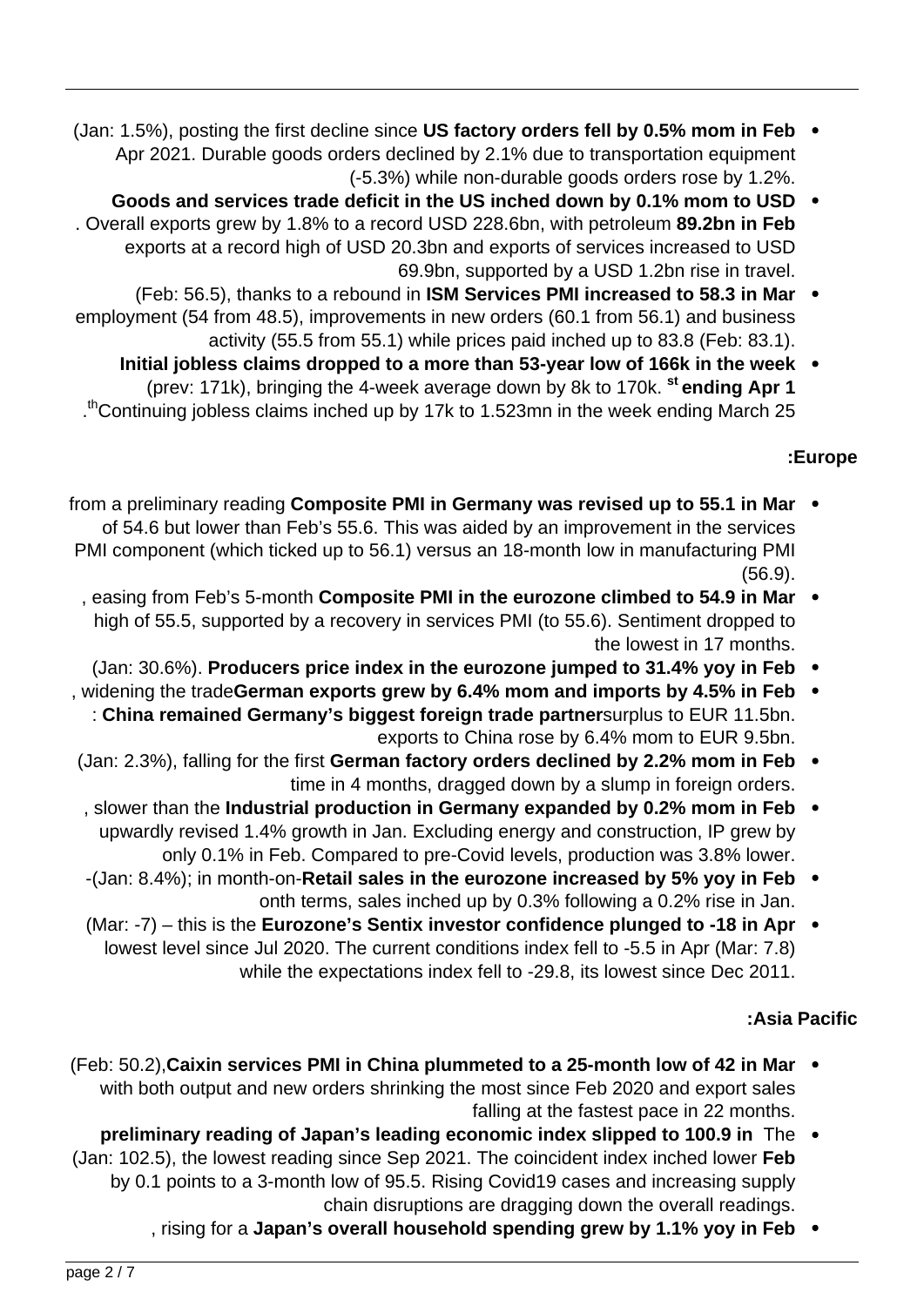- **Feb in the moment of the factory orders fell by 0.5% mom in Feb** Apr 2021. Durable goods orders declined by 2.1% due to transportation equipment  $(-5.3%)$  while non-durable goods orders rose by 1.2%.
- Goods and services trade deficit in the US inched down by 0.1% mom to USD . Overall exports grew by 1.8% to a record USD 228.6bn, with petroleum 89.2bn in Feb exports at a record high of USD 20.3bn and exports of services increased to USD 69.9bn, supported by a USD 1.2bn rise in travel.
- (Feb: 56.5), thanks to a rebound in **ISM Services PMI increased to 58.3 in Mar** emplovment (54 from 48.5), improvements in new orders (60.1 from 56.1) and business activity (55.5 from 55.1) while prices paid inched up to 83.8 (Feb: 83.1).
	- **Initial jobless claims dropped to a more than 53-year low of 166k in the week** (prev: 171k), bringing the 4-week average down by 8k to 170k. <sup>st</sup> ending Apr 1 th Continuing jobless claims inched up by 17k to 1.523mn in the week ending March 25

## **Europe:**

- from a preliminary reading Composite PMI in Germany was revised up to 55.1 in Mar of 54.6 but lower than Feb's 55.6. This was aided by an improvement in the services PMI component (which ticked up to 56.1) versus an 18-month low in manufacturing PMI .(56.9)
	- , easing from Feb's 5-month **Composite PMI in the eurozone climbed to 54.9 in Mar** high of 55.5, supported by a recovery in services PMI (to 55.6). Sentiment dropped to the lowest in 17 months.
	- **(Jan: 30.6%). Producers price index in the eurozone jumped to 31.4% yoy in Feb .**
- , widening the tradeGerman exports grew by 6.4% mom and imports by 4.5% in Feb  $\bullet$ : China remained Germany's biggest foreign trade partnersurplus to EUR 11.5bn. exports to China rose by 6.4% mom to EUR 9.5bn.
- (Jan: 2.3%), falling for the first German factory orders declined by 2.2% mom in Feb  $\bullet$ time in 4 months, dragged down by a slump in foreign orders.
- **Figure 1.50 in momental in momental production in Germany expanded by 0.2% mom in Feb** upwardly revised 1.4% growth in Jan. Excluding energy and construction, IP grew by only 0.1% in Feb. Compared to pre-Covid levels, production was 3.8% lower.
- -(Jan: 8.4%); in month-on-Retail sales in the eurozone increased by 5% yoy in Feb onth terms, sales inched up by 0.3% following a 0.2% rise in Jan.
- **(Mar: -7)** this is the Eurozone's Sentix investor confidence plunged to -18 in Apr  $\bullet$ lowest level since Jul 2020. The current conditions index fell to -5.5 in Apr (Mar: 7.8) while the expectations index fell to -29.8, its lowest since Dec 2011.

## **Pacific Asia:**

- **(Feb: 50.2), Caixin services PMI in China plummeted to a 25-month low of 42 in Mar** with both output and new orders shrinking the most since Feb 2020 and export sales falling at the fastest pace in 22 months.
- preliminary reading of Japan's leading economic index slipped to 100.9 in The  $\bullet$ (Jan: 102.5), the lowest reading since Sep 2021. The coincident index inched lower Feb by 0.1 points to a 3-month low of 95.5. Rising Covid 19 cases and increasing supply chain disruptions are dragging down the overall readings.
	- fising for a Japan's overall household spending grew by 1.1% yoy in Feb .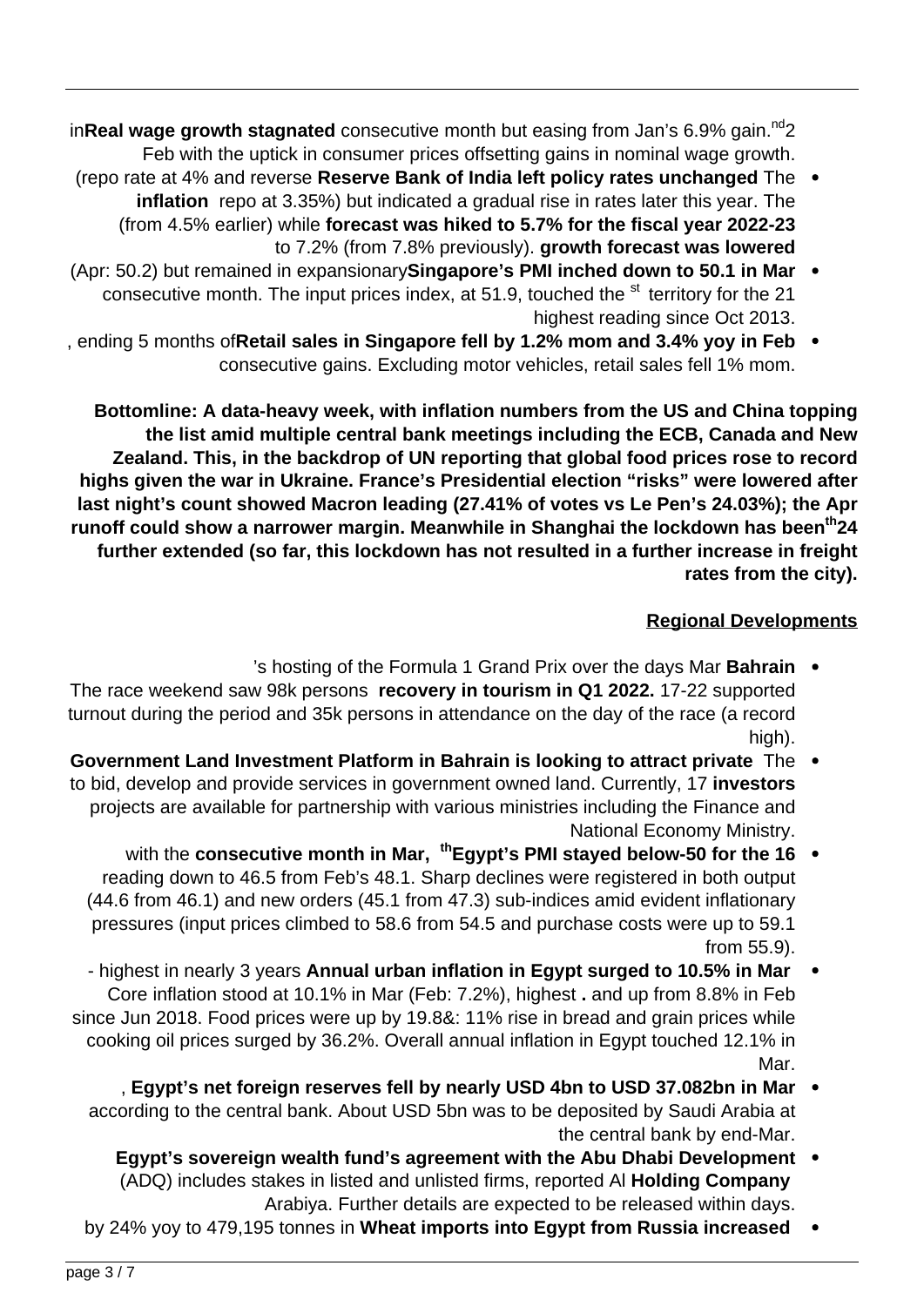in**Real wage growth stagnated** consecutive month but easing from Jan's 6.9% gain.<sup>nd</sup>2 Feb with the uptick in consumer prices offsetting gains in nominal wage growth.

- (repo rate at 4% and reverse Reserve Bank of India left policy rates unchanged The inflation repo at 3.35%) but indicated a gradual rise in rates later this year. The (from 4.5% earlier) while forecast was hiked to 5.7% for the fiscal year 2022-23 to 7.2% (from 7.8% previously). growth forecast was lowered
- (Apr: 50.2) but remained in expansionary Singapore's PMI inched down to 50.1 in Mar  $\bullet$ consecutive month. The input prices index, at 51.9, touched the <sup>st</sup> territory for the 21 highest reading since Oct 2013.
- **FALT III Shep in Singapore fell by 1.2% mom and 3.4% yoy in Feb** consecutive gains. Excluding motor vehicles, retail sales fell 1% mom.

**Bottomline: A data-heavy week, with inflation numbers from the US and China topping** the list amid multiple central bank meetings including the ECB, Canada and New Zealand. This, in the backdrop of UN reporting that global food prices rose to record highs given the war in Ukraine. France's Presidential election "risks" were lowered after last night's count showed Macron leading (27.41% of votes vs Le Pen's 24.03%); the Apr runoff could show a narrower margin. Meanwhile in Shanghai the lockdown has been<sup>th</sup>24 further extended (so far, this lockdown has not resulted in a further increase in freight rates from the city).

## **Regional Developments**

- 's hosting of the Formula 1 Grand Prix over the days Mar **Bahrain** . The race weekend saw 98k persons recovery in tourism in Q1 2022. 17-22 supported turnout during the period and 35k persons in attendance on the day of the race (a record high).
- **Government Land Investment Platform in Bahrain is looking to attract private** The to bid, develop and provide services in government owned land. Currently, 17 investors projects are available for partnership with various ministries including the Finance and National Economy Ministry.
	- with the consecutive month in Mar, <sup>th</sup>Egypt's PMI stayed below-50 for the 16  $\bullet$ reading down to 46.5 from Feb's 48.1. Sharp declines were registered in both output  $(44.6$  from  $46.1)$  and new orders  $(45.1$  from  $47.3)$  sub-indices amid evident inflationary pressures (input prices climbed to 58.6 from 54.5 and purchase costs were up to 59.1 from 55.9).
- **highest in nearly 3 years Annual urban inflation in Egypt surged to 10.5% in Mar** Core inflation stood at 10.1% in Mar (Feb: 7.2%), highest , and up from 8.8% in Feb since Jun 2018. Food prices were up by 19.8&: 11% rise in bread and grain prices while cooking oil prices surged by 36.2%. Overall annual inflation in Egypt touched 12.1% in Mar.
	- , Egypt's net foreign reserves fell by nearly USD 4bn to USD 37.082bn in Mar according to the central bank. About USD 5bn was to be deposited by Saudi Arabia at the central bank by end-Mar.
		- **Egypt's sovereign wealth fund's agreement with the Abu Dhabi Development .** (ADQ) includes stakes in listed and unlisted firms, reported Al Holding Company Arabiya. Further details are expected to be released within days.
	- by 24% yoy to 479,195 tonnes in Wheat imports into Egypt from Russia increased  $\bullet$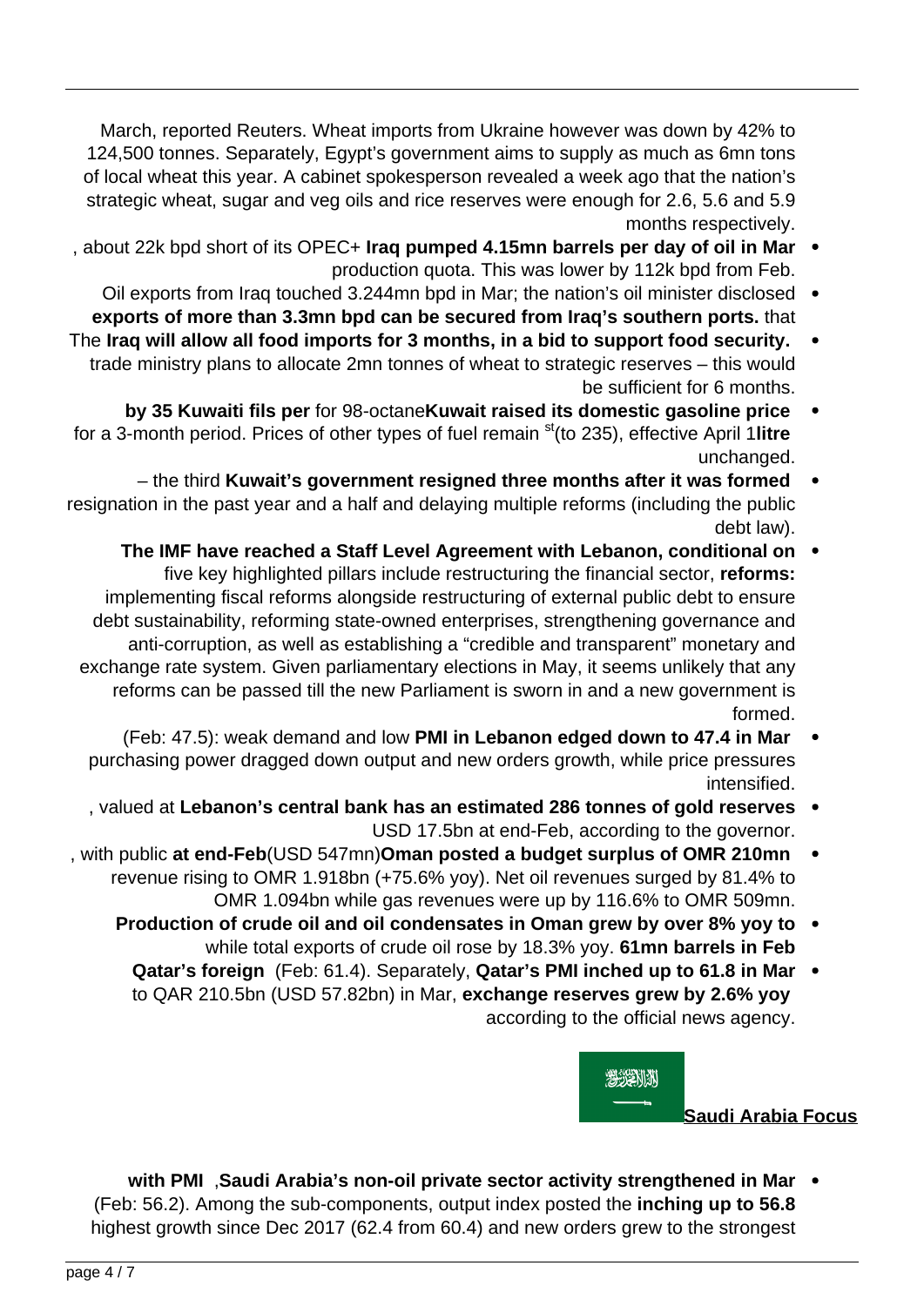March, reported Reuters. Wheat imports from Ukraine however was down by 42% to 124,500 tonnes. Separately, Egypt's government aims to supply as much as 6mn tons of local wheat this year. A cabinet spokesperson revealed a week ago that the nation's strategic wheat, sugar and veg oils and rice reserves were enough for 2.6, 5.6 and 5.9 months respectively.

- about 22k bpd short of its OPEC+ lrag pumped 4.15 mn barrels per day of oil in Mar production quota. This was lower by 112k bpd from Feb.
- Oil exports from Iraq touched 3.244 mn bpd in Mar; the nation's oil minister disclosed . exports of more than 3.3mn bpd can be secured from Iraq's southern ports. that
- The Iraq will allow all food imports for 3 months, in a bid to support food security. trade ministry plans to allocate 2mn tonnes of wheat to strategic reserves - this would be sufficient for 6 months.
- by 35 Kuwaiti fils per for 98-octane Kuwait raised its domestic gasoline price for a 3-month period. Prices of other types of fuel remain <sup>st</sup>(to 235), effective April 1 litre .unchanged
- the third Kuwait's government resigned three months after it was formed resignation in the past year and a half and delaying multiple reforms (including the public debt law).
	- The IMF have reached a Staff Level Agreement with Lebanon, conditional on five key highlighted pillars include restructuring the financial sector, **reforms**: implementing fiscal reforms alongside restructuring of external public debt to ensure debt sustainability, reforming state-owned enterprises, strengthening governance and anti-corruption, as well as establishing a "credible and transparent" monetary and exchange rate system. Given parliamentary elections in May, it seems unlikely that any reforms can be passed till the new Parliament is sworn in and a new government is .formed
	- **(Feb: 47.5): weak demand and low PMI in Lebanon edged down to 47.4 in Mar** purchasing power dragged down output and new orders growth, while price pressures .intensified
	- **reserves** gold of the banon's central bank has an estimated 286 tonnes of gold reserves USD 17.5 bn at end-Feb, according to the governor.
- , with public at end-Feb(USD 547mn)Oman posted a budget surplus of OMR 210mn revenue rising to OMR 1.918bn (+75.6% yoy). Net oil revenues surged by 81.4% to OMR 1.094bn while gas revenues were up by 116.6% to OMR 509mn.
	- **the Production of crude oil and oil condensates in Oman grew by over 8% yoy to** while total exports of crude oil rose by 18.3% yoy. 61mn barrels in Feb
		- **Qatar's foreign** (Feb: 61.4). Separately, **Qatar's PMI inched up to 61.8 in Mar** to QAR 210.5bn (USD 57.82bn) in Mar, exchange reserves grew by 2.6% yoy according to the official news agency.



**Saudi Arabia Focus** 

with PMI , Saudi Arabia's non-oil private sector activity strengthened in Mar (Feb: 56.2). Among the sub-components, output index posted the inching up to 56.8 highest growth since Dec 2017 (62.4 from 60.4) and new orders grew to the strongest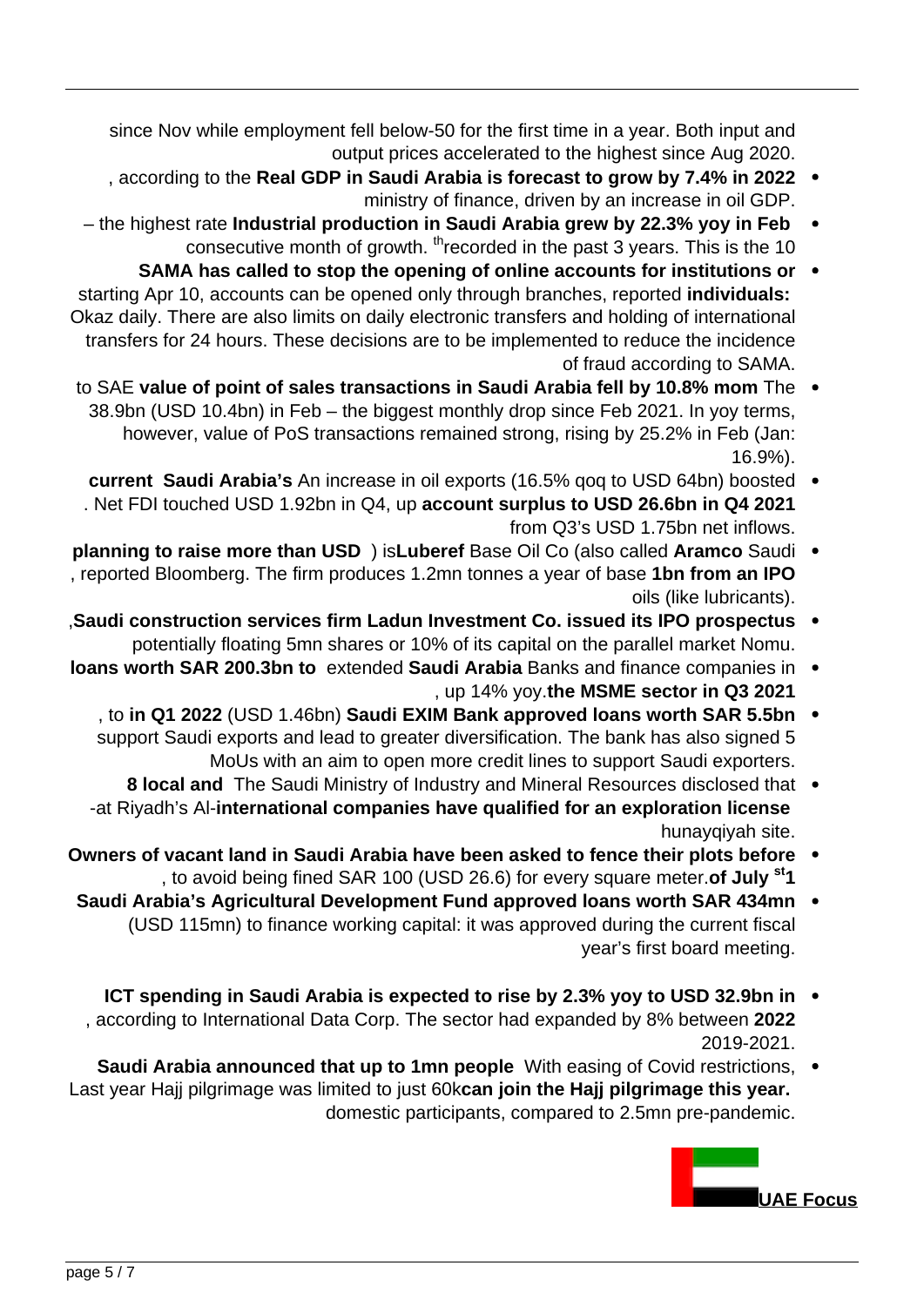since Nov while employment fell below-50 for the first time in a year. Both input and output prices accelerated to the highest since Aug 2020.

- 2022 . according to the Real GDP in Saudi Arabia is forecast to grow by 7.4% in 2022 ministry of finance, driven by an increase in oil GDP.
- the highest rate **Industrial production in Saudi Arabia grew by 22.3% yoy in Feb** consecutive month of growth.  ${}^{\text{th}}$  recorded in the past 3 years. This is the 10
- **SAMA** has called to stop the opening of online accounts for institutions or  $\cdot$ starting Apr 10, accounts can be opened only through branches, reported *individuals*: Okaz daily. There are also limits on daily electronic transfers and holding of international transfers for 24 hours. These decisions are to be implemented to reduce the incidence of fraud according to SAMA.
- to SAE value of point of sales transactions in Saudi Arabia fell by 10.8% mom The 38.9bn (USD 10.4bn) in Feb – the biggest monthly drop since Feb 2021. In yoy terms, however, value of PoS transactions remained strong, rising by 25.2% in Feb (Jan: .(16.9%
- current Saudi Arabia's An increase in oil exports (16.5% qoq to USD 64bn) boosted . . Net FDI touched USD 1.92bn in Q4, up account surplus to USD 26.6bn in Q4 2021  $from Q3's USD 1.75$  hn net inflows.
- **planning to raise more than USD** ) isLuberef Base Oil Co (also called Aramco Saudi I reported Bloomberg. The firm produces 1.2mn tonnes a year of base 1bn from an IPO oils (like lubricants).
- **Saudi construction services firm Ladun Investment Co. issued its IPO prospectus** potentially floating 5mn shares or 10% of its capital on the parallel market Nomu.
- **ideans worth SAR 200.3bn to extended Saudi Arabia Banks and finance companies in** , up 14% yoy.the MSME sector in Q3 2021
	- **hoan 5.5 Spars 2022 (USD 1.46 bn) Saudi EXIM Bank approved loans worth SAR 5.5 bn** support Saudi exports and lead to greater diversification. The bank has also signed 5 MoUs with an aim to open more credit lines to support Saudi exporters.
	- 8 local and The Saudi Ministry of Industry and Mineral Resources disclosed that . -at Riyadh's Al-international companies have qualified for an exploration license hunayqiyah site.
- **Owners of vacant land in Saudi Arabia have been asked to fence their plots before** , to avoid being fined SAR 100 (USD 26.6) for every square meter.of July <sup>st</sup>1
- **Saudi Arabia's Agricultural Development Fund approved loans worth SAR 434mn** (USD 115mn) to finance working capital: it was approved during the current fiscal year's first board meeting.
- **ICT** spending in Saudi Arabia is expected to rise by 2.3% yoy to USD 32.9bn in , according to International Data Corp. The sector had expanded by 8% between 2022 2019-2021.
- **Saudi Arabia announced that up to 1mn people** With easing of Covid restrictions,  $\cdot$ Last year Hajj pilgrimage was limited to just 60kcan join the Hajj pilgrimage this year. domestic participants, compared to 2.5 mn pre-pandemic.

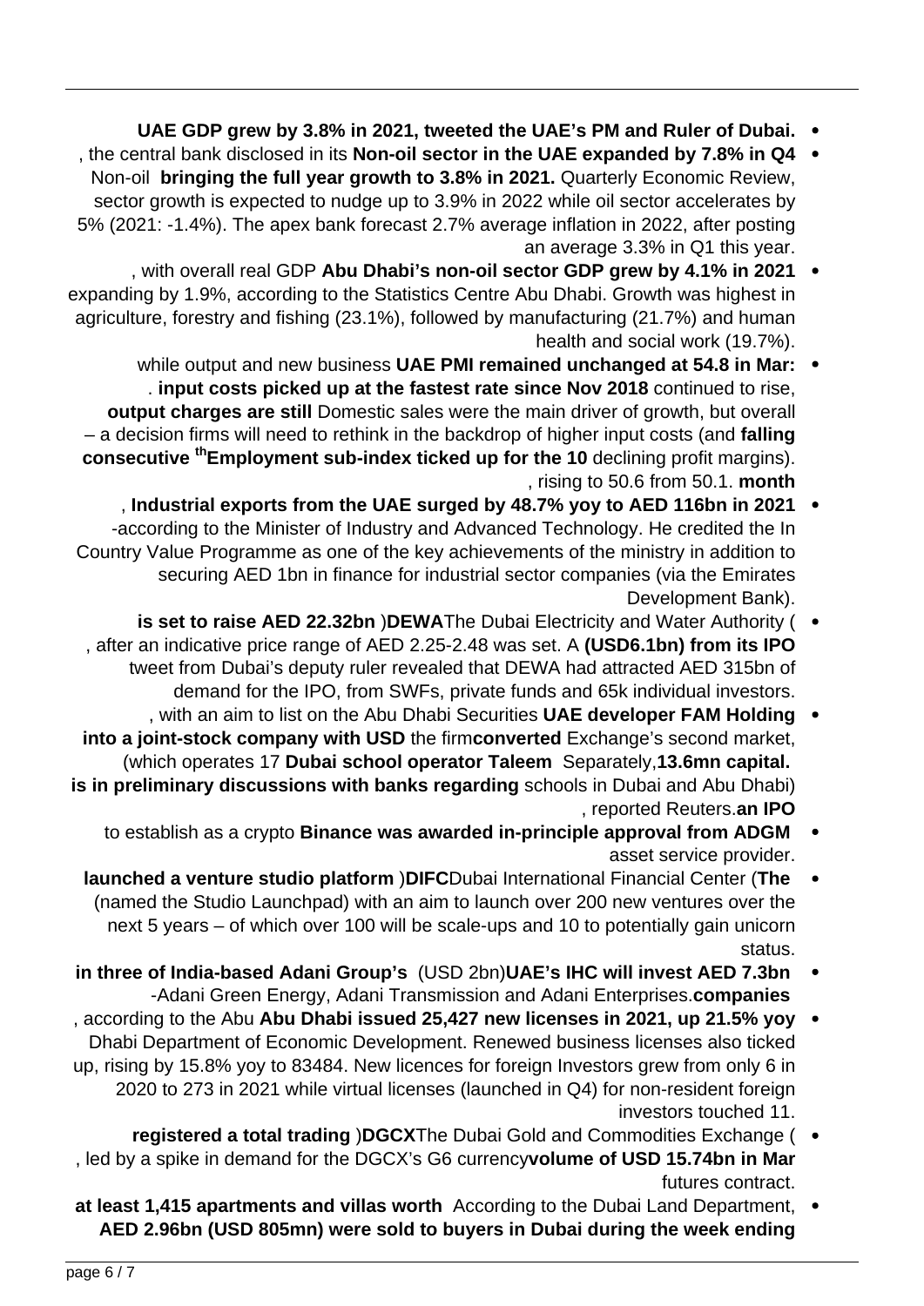- UAE GDP grew by 3.8% in 2021, tweeted the UAE's PM and Ruler of Dubai.
- the central bank disclosed in its **Non-oil sector in the UAE expanded by 7.8% in Q4** Non-oil bringing the full year growth to 3.8% in 2021. Quarterly Economic Review, sector growth is expected to nudge up to 3.9% in 2022 while oil sector accelerates by 5% (2021: -1.4%). The apex bank forecast 2.7% average inflation in 2022, after posting an average 3.3% in Q1 this year.
- , with overall real GDP Abu Dhabi's non-oil sector GDP grew by 4.1% in 2021  $\bullet$ expanding by 1.9%, according to the Statistics Centre Abu Dhabi. Growth was highest in agriculture, forestry and fishing (23.1%), followed by manufacturing (21.7%) and human health and social work (19.7%).
	- while output and new business UAE PMI remained unchanged at 54.8 in Mar: . input costs picked up at the fastest rate since Nov 2018 continued to rise, output charges are still Domestic sales were the main driver of growth, but overall fall and ecostion firms will need to rethink in the backdrop of higher input costs (and **falling consecutive** <sup>th</sup> Employment sub-index ticked up for the 10 declining profit margins). , rising to 50.6 from 50.1. **month**
- , Industrial exports from the UAE surged by 48.7% yoy to AED 116bn in 2021 -according to the Minister of Industry and Advanced Technology. He credited the In Country Value Programme as one of the key achievements of the ministry in addition to securing AED 1bn in finance for industrial sector companies (via the Emirates Development Bank).
- is set to raise AED 22.32bn )DEWAThe Dubai Electricity and Water Authority (  $\bullet$ , after an indicative price range of AED 2.25-2.48 was set. A (USD6.1bn) from its IPO tweet from Dubai's deputy ruler revealed that DEWA had attracted AED 315bn of demand for the IPO, from SWFs, private funds and 65k individual investors.
- , with an aim to list on the Abu Dhabi Securities UAE developer FAM Holding into a joint-stock company with USD the firmconverted Exchange's second market, (which operates 17 Dubai school operator Taleem Separately, 13.6mn capital. is in preliminary discussions with banks regarding schools in Dubai and Abu Dhabi) **I**. reported Reuters.an IPO
	- to establish as a crypto Binance was awarded in-principle approval from ADGM asset service provider.
	- **The** launched a venture studio platform )DIFCDubai International Financial Center (The (named the Studio Launchpad) with an aim to launch over 200 new ventures over the next 5 years  $-$  of which over 100 will be scale-ups and 10 to potentially gain unicorn .status
- in three of India-based Adani Group's (USD 2bn)UAE's IHC will invest AED 7.3bn **-Adani Green Energy, Adani Transmission and Adani Enterprises.companies**
- , according to the Abu Abu Dhabi issued 25,427 new licenses in 2021, up 21.5% yoy Dhabi Department of Economic Development. Renewed business licenses also ticked up, rising by 15.8% yoy to 83484. New licences for foreign Investors grew from only 6 in 2020 to 273 in 2021 while virtual licenses (launched in Q4) for non-resident foreign investors touched 11.
- registered a total trading )DGCXThe Dubai Gold and Commodities Exchange ( , led by a spike in demand for the DGCX's G6 currencyvolume of USD 15.74bn in Mar futures contract.
- at least 1,415 apartments and villas worth According to the Dubai Land Department, . AED 2.96bn (USD 805mn) were sold to buyers in Dubai during the week ending